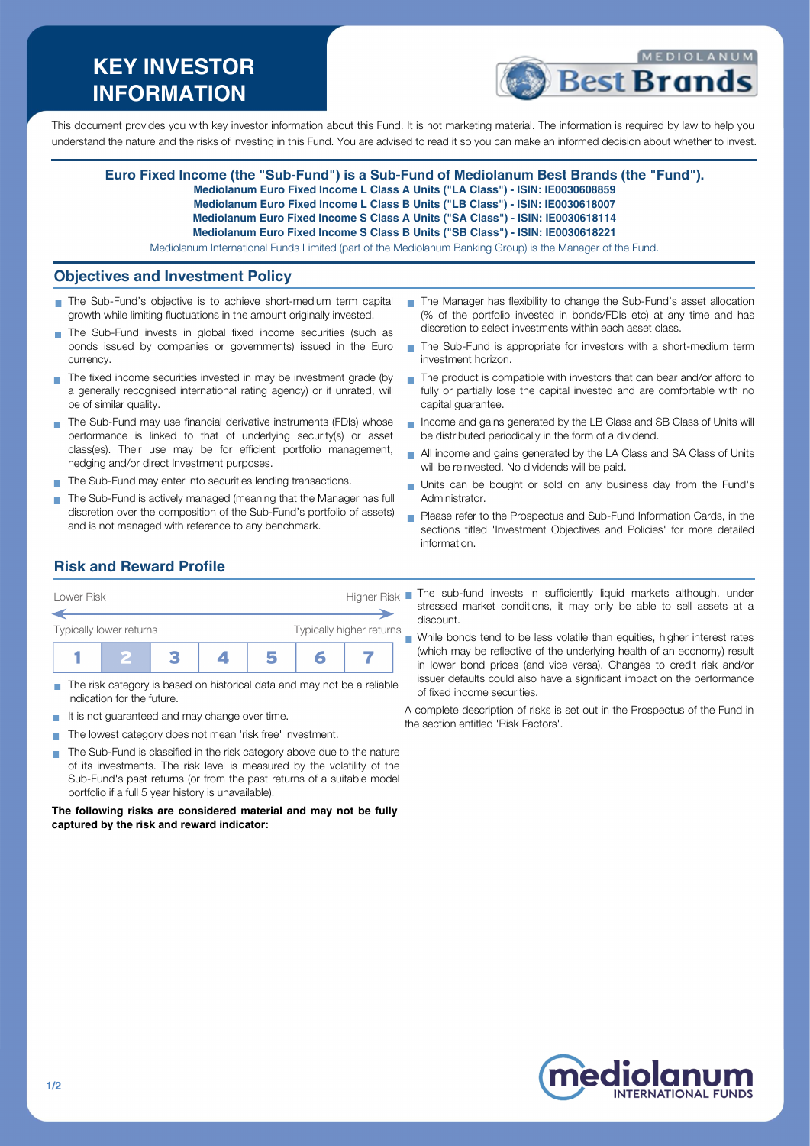# **KEY INVESTOR INFORMATION**



This document provides you with key investor information about this Fund. It is not marketing material. The information is required by law to help you understand the nature and the risks of investing in this Fund. You are advised to read it so you can make an informed decision about whether to invest.

### **Euro Fixed Income (the "Sub-Fund") is a Sub-Fund of Mediolanum Best Brands (the "Fund").**

**Mediolanum Euro Fixed Income L Class A Units ("LA Class") - ISIN: IE0030608859**

- **Mediolanum Euro Fixed Income L Class B Units ("LB Class") ISIN: IE0030618007**
- **Mediolanum Euro Fixed Income S Class A Units ("SA Class") ISIN: IE0030618114**

**Mediolanum Euro Fixed Income S Class B Units ("SB Class") - ISIN: IE0030618221**

Mediolanum International Funds Limited (part of the Mediolanum Banking Group) is the Manager of the Fund.

## **Objectives and Investment Policy**

- The Sub-Fund's objective is to achieve short-medium term capital growth while limiting fluctuations in the amount originally invested.
- The Sub-Fund invests in global fixed income securities (such as bonds issued by companies or governments) issued in the Euro currency.
- $\blacksquare$  The fixed income securities invested in may be investment grade (by a generally recognised international rating agency) or if unrated, will be of similar quality.
- The Sub-Fund may use financial derivative instruments (FDIs) whose performance is linked to that of underlying security(s) or asset class(es). Their use may be for efficient portfolio management, hedging and/or direct Investment purposes.
- The Sub-Fund may enter into securities lending transactions.
- The Sub-Fund is actively managed (meaning that the Manager has full discretion over the composition of the Sub-Fund's portfolio of assets) and is not managed with reference to any benchmark.
- The Manager has flexibility to change the Sub-Fund's asset allocation (% of the portfolio invested in bonds/FDIs etc) at any time and has discretion to select investments within each asset class.
- The Sub-Fund is appropriate for investors with a short-medium term investment horizon.
- $\blacksquare$  The product is compatible with investors that can bear and/or afford to fully or partially lose the capital invested and are comfortable with no capital guarantee.
- Income and gains generated by the LB Class and SB Class of Units will be distributed periodically in the form of a dividend.
- All income and gains generated by the LA Class and SA Class of Units will be reinvested. No dividends will be paid.
- Units can be bought or sold on any business day from the Fund's  $\overline{\phantom{a}}$ Administrator.
- **Please refer to the Prospectus and Sub-Fund Information Cards, in the** sections titled 'Investment Objectives and Policies' for more detailed information.

## **Risk and Reward Profile**



- П indication for the future.
- It is not guaranteed and may change over time.
- The lowest category does not mean 'risk free' investment. **COL**
- The Sub-Fund is classified in the risk category above due to the nature  $\sim$ of its investments. The risk level is measured by the volatility of the Sub-Fund's past returns (or from the past returns of a suitable model portfolio if a full 5 year history is unavailable).

**The following risks are considered material and may not be fully captured by the risk and reward indicator:**

The sub-fund invests in sufficiently liquid markets although, under stressed market conditions, it may only be able to sell assets at a discount.

While bonds tend to be less volatile than equities, higher interest rates (which may be reflective of the underlying health of an economy) result in lower bond prices (and vice versa). Changes to credit risk and/or issuer defaults could also have a significant impact on the performance of fixed income securities.

A complete description of risks is set out in the Prospectus of the Fund in the section entitled 'Risk Factors'.